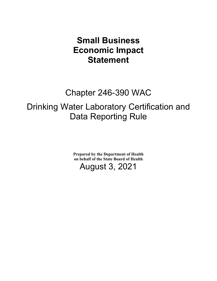## **Small Business Economic Impact Statement**

# Chapter 246-390 WAC

## Drinking Water Laboratory Certification and Data Reporting Rule

**Prepared by the Department of Health on behalf of the State Board of Health**

August 3, 2021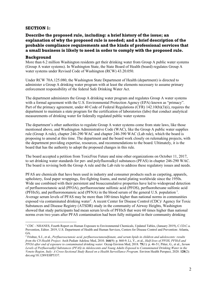#### **SECTION 1:**

### **Describe the proposed rule, including: a brief history of the issue; an explanation of why the proposed rule is needed; and a brief description of the probable compliance requirements and the kinds of professional services that a small business is likely to need in order to comply with the proposed rule.**

#### **Background**

More than 6.2 million Washington residents get their drinking water from Group A public water systems (Group A water systems). In Washington State, the State Board of Health (board) regulates Group A water systems under Revised Code of Washington (RCW) 43.20.050.

Under RCW 70A.125.080, the Washington State Department of Health (department) is directed to administer a Group A drinking water program with at least the elements necessary to assume primary enforcement responsibility of the federal Safe Drinking Water Act.

The department administers the Group A drinking water program and regulates Group A water systems with a formal agreement with the U.S. Environmental Protection Agency (EPA) known as "primacy". Part of the primacy agreement, under 40 Code of Federal Regulations (CFR) 142.10(b)(3)(i), requires the department to maintain a state program for the certification of laboratories (labs) that conduct analytical measurements of drinking water for federally regulated public water systems

The department's other authorities to regulate Group A water systems come from state laws, like those mentioned above, and Washington Administrative Code (WAC), like the Group A public water supplies rule (Group A rule), chapter 246-290 WAC and chapter 246-390 WAC (Lab rule), which the board is proposing to amend at this time. The department and the board work closely on rulemaking projects, with the department providing expertise, resources, and recommendations to the board. Ultimately, it is the board that has the authority to adopt the proposed changes in this rule.

The board accepted a petition from ToxicFree Future and nine other organizations on October 11, 2017, to set drinking water standards for per- and polyfluoroalkyl substances (PFAS) in chapter 246-290 WAC. The board is revising both the Group A rule and the Lab rule to address these regulatory issues and needs.

PFAS are chemicals that have been used in industry and consumer products such as carpeting, apparels, upholstery, food paper wrappings, fire-fighting foams, and metal plating worldwide since the 1950s. Wide use combined with their persistent and bioaccumulative properties have led to widespread detection of perfluorooctanoic acid (PFOA), perfluorooctane sulfonic acid (PFOS), perfluorohexane sulfonic acid (PFHxS), and perfluorononanoic acid (PFNA) in the blood serum of the general U.S. population<sup>[1](#page-1-0)</sup>. Average serum levels of PFAS may be more than 100 times higher than national norms in communities exposed via contaminated drinking water<sup>[2](#page-1-1)</sup>. A recent Center for Disease Control (CDC)/ Agency for Toxic Substances and Disease Registry (ATSDR) study in the community of Airway Heights, Washington showed that study participants had mean serum levels of PFHxS that were 60 times higher than national norms even two years after PFAS contamination had been fully mitigated in their community drinking

<span id="page-1-0"></span><sup>1</sup> CDC - NHANES, Fourth Report on Human Exposure to Environmental Chemicals, Updated Tables, (January 2019), C.f.D.C.a. Prevention, Editor. 2019, U.S. Department of Health and Human Services, Centers for Disease Control and Prevention: Atlanta, GA.

<span id="page-1-1"></span><sup>2</sup> Frisbee, S.J., et al., *Perfluorooctanoic acid, perfluorooctanesulfonate, and serum lipids in children and adolescents: results from the C8 Health Project.* Arch Pediatr Adolesc Med, 2010. **164**(9): p. 860-9; Li, Y., et al., *Half-lives of PFOS, PFHxS and PFOA after end of exposure to contaminated drinking water.* Occup Environ Med, 2018. **75**(1): p. 46-51; Pitter, G., et al., *Serum Levels of Perfluoroalkyl Substances (PFAS) in Adolescents and Young Adults Exposed to Contaminated Drinking Water in the Veneto Region, Italy: A Cross-Sectional Study Based on a Health Surveillance Program.* Environ Health Perspect, 2020. **128**(2): doi.org/10.1289/EHP5337.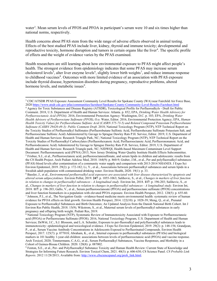water<sup>[3](#page-2-0)</sup>. Mean serum levels of PFOS and PFOA in participant's serum were 10 and six times higher than national norms, respectively.

Health concerns about PFAS stem from the wide range of adverse effects observed in animal testing. Effects of the best studied PFAS include liver, kidney, thyroid and immune toxicity; developmental and reproductive toxicity, hormone disruption and tumors in certain organs like the liver<sup>[4](#page-2-1)</sup>. The specific profile of effects and the weight of evidence varies by the PFAS examined.

Health researchers are still learning about how environmental exposure to PFAS might affect people's health. The strongest evidence from epidemiology indicates that some PFAS may increase serum cholesterol levels<sup>[5](#page-2-2)</sup>, alter liver enzyme levels<sup>[6](#page-2-3)</sup>, slightly lower birth weights<sup>[7](#page-2-4)</sup>, and reduce immune response to childhood vaccines<sup>[8](#page-2-5)</sup>. Outcomes with more limited evidence of an association with PFAS exposure include thyroid disease, hypertension disorders during pregnancy, reproductive problems, altered hormone levels, and metabolic issues<sup>[9](#page-2-6)</sup>.

<span id="page-2-0"></span><sup>3</sup> CDC/ATSDR PFAS Exposure Assessment Community Level Results for Spokane County (WA) near Fairchild Air Force Base, 202[0 https://www.atsdr.cdc.gov/pfas/communities/factsheet/Spokane-County-Community-Level-Results-Factsheet.html](https://www.atsdr.cdc.gov/pfas/communities/factsheet/Spokane-County-Community-Level-Results-Factsheet.html)

<span id="page-2-1"></span><sup>4</sup> Agency for Toxic Substances and Disease Registry (ATSDR), Toxicological Profile for Perfluoroalkyls - Draft for Public Comment. 2018, U.S. Department of Health and Human Services: Atlanta. p. 852; EPA, *Drinking Water Health Advisory for Perfluorooctanoic Acid (PFOA)*. 2016, Environmental Protection Agency: Washington, D.C. p. 103; EPA, *Drinking Water Health Advisory of Perfluoroctane Sulfonate (PFOS)*, O.o. Water, Editor. 2016, Environmental Protection Agency; EPA, *Human Health Toxicity Values for Perfluorobutane Sulfonic Acid (CASRN 375-73-5) and Related Compound Potassium Perfluorobutane Sulfonate (CASRN 29420-49-3): Public Comment Draft*. 2018; National Toxicology Program (NTP), NTP Technical Report on the Toxicity Studies of Perfluoroalkyl Sulfonates (Perfluorobutane Sulfonic Acid, Perfluorohexane Sulfonate Potassium Salt, and Perfluorooctane Sulfonic Acid) Administered by Gavage to Sprague Dawley Rats P.H. Service, Editor. 2019, U.S. Department of Health and Human Services: Research Triangle Park, NC; National Toxicology Program (NTP), NTP Technical Report on the Toxicity Studies of Perfluoroalkyl Carboxylates (Perfluorohexanoic Acid, Perfluorooctanoic Acid, Perfluorononanoic Acid, and Perfluorodecanoic Acid) Administered by Gavage to Sprague Dawley Rats P.H. Service, Editor. 2019, U.S. Department of Health and Human Services: Research Triangle park, NC; NJDWQI, Health-based Maximum Contaminant Level Support Document: Perfluorononanoic acid (PFNA) 2015, New Jersey Drinking Water Quality Institute Health Effects Subcommittee. <sup>5</sup> Frisbee, S.J., et al., Perfluorooctanoic acid, perfluorooctanesulfonate, and serum lipids in children and adolescents: results from the C8 Health Project. Arch Pediatr Adolesc Med, 2010. 164(9): p. 860-9; Graber, J.M., et al., Per and polyfluoroalkyl substances (PFAS) blood levels after contamination of a community water supply and comparison with 2013-2014 NHANES. J Expo Sci Environ Epidemiol, 2019. 29(2): p. 172-182; Li, Y., et al., Associations between perfluoroalkyl substances and serum lipids in a Swedish adult population with contaminated drinking water. Environ Health, 2020. 19(1): p. 33.

<span id="page-2-3"></span><span id="page-2-2"></span><sup>6</sup> Bassler, J., et al., *Environmental perfluoroalkyl acid exposures are associated with liver disease characterized by apoptosis and altered serum adipocytokines.* Environ Pollut, 2019. **247**: p. 1055-1063; Salihovic, S., et al., *Changes in markers of liver function in relation to changes in perfluoroalkyl substances - A longitudinal study.* Environ Int, 2018. **117**: p. 196-203; Salihovic, S., et al., *Changes in markers of liver function in relation to changes in perfluoroalkyl substances - A longitudinal study.* Environ Int, 2018. **117**: p. 196-203; Gallo, V., et al., Serum perfluorooctanoate (PFOA) and perfluorooctane sulfonate (PFOS) concentrations and liver function biomarkers in a population with elevated PFOA exposure. Environ Health Perspect, 2012. 120(5): p. 655-60. <sup>7</sup> Johnson, P.I., et al., The Navigation Guide - evidence-based medicine meets environmental health: systematic review of human evidence for PFOA effects on fetal growth. Environ Health Perspect, 2014. 122(10): p. 1028-39; Meng, Q., et al., Prenatal Exposure to Perfluoroalkyl Substances and Birth Outcomes; An Updated Analysis from the Danish National Birth Cohort. Int J Environ Res Public Health, 2018. 15(9); Wikstrom, S., et al., Maternal serum levels of perfluoroalkyl substances in early pregnancy and offspring birth weight. Pediatr Res, 2019.

<span id="page-2-5"></span><span id="page-2-4"></span><sup>&</sup>lt;sup>8</sup> National Toxicology Program (NTP), Systematic Review of Immunotoxicity Associated with Exposure to Perfluorooctanoic acid (PFOA) or Perfluoroctane Sulfonate (PFOS). 2016, National Toxicology Program, U.S. Department of Health and Human Services; DeWitt, J.C., S.J. Blossom, and L.A. Schaider, Exposure to per-fluoroalkyl and polyfluoroalkyl substances leads to immunotoxicity: epidemiological and toxicological evidence. J Expo Sci Environ Epidemiol, 2019. 29(2): p. 148-156; Grandjean, P., et al., Serum Vaccine Antibody Concentrations in Adolescents Exposed to Perfluorinated Compounds. Environ Health Perspect, 2017. 125(7): p. 077018; Abraham, K., et al., Internal exposure to perfluoroalkyl substances (PFASs) and biological markers in 101 healthy 1-year-old children: associations between levels of perfluorooctanoic acid (PFOA) and vaccine response. Arch Toxicol, 2020; Timmermann, C.A.G., et al., Serum Perfluoroalkyl Substances, Vaccine Responses, and Morbidity in a Cohort of Guinea-Bissau Children. 2020. 128(8): p. 087002.

<span id="page-2-6"></span><sup>&</sup>lt;sup>9</sup> Fenton, S.E., et al., Per- and Polyfluoroalkyl Substance Toxicity and Human Health Review: Current State of Knowledge and Strategies for Informing Future Research. Environ Toxicol Chem, 2021. 40(3): p. 606-630; C8 Science Panel. *C8 Probable Link Reports*. 2012 11/28/2013; Available from: [http://www.c8sciencepanel.org/prob\\_link.html.](http://www.c8sciencepanel.org/prob_link.html)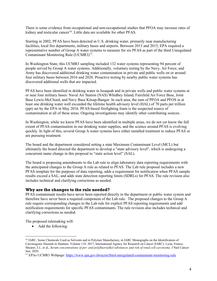There is some evidence from occupational and non-occupational studies that PFOA may increase rates of kidney and testicular cancer<sup>10</sup>. Little data are available for other PFAS.

Starting in 2002, PFAS have been detected in U.S. drinking water, primarily near manufacturing facilities, local fire departments, military bases and airports. Between 2013 and 2015, EPA required a representative number of Group A water systems to measure for six PFAS as part of the third Unregulated Contaminant Monitoring Rule (UCMR3)<sup>11</sup>.

In Washington State, this UCMR3 sampling included 132 water systems representing 94 percent of people served by Group A water systems. Additionally, voluntary testing by the Navy, Air Force, and Army has discovered additional drinking water contamination in private and public wells on or around four military bases between 2016 and 2020. Proactive testing by nearby public water systems has discovered additional wells that are impacted.

PFAS have been identified in drinking water in Issaquah and in private wells and public water systems at or near four military bases: Naval Air Station (NAS) Whidbey Island, Fairchild Air Force Base, Joint Base Lewis-McChord, and Navy Base Kitsap-Bangor. In each area, the sum of PFOA and PFOS in at least one drinking water well exceeded the lifetime health advisory level (HAL) of 70 parts per trillion (ppt) set by the EPA in May 2016. PFAS-based firefighting foam is the suspected source of contamination at all of these areas. Ongoing investigations may identify other contributing sources.

In Washington, while we know PFAS have been identified in multiple areas, we do not yet know the full extent of PFAS contamination in our drinking water supplies, and the science around PFAS is evolving quickly. In light of this, several Group A water systems have either installed treatment to reduce PFAS or are pursuing treatment.

The board and the department considered setting a state Maximum Contaminant Level (MCL) but ultimately the board directed the department to develop a "state advisory level", which is undergoing a concurrent name change in this proposal to "state action level" (SAL).

The board is proposing amendments to the Lab rule to align laboratory data reporting requirements with the anticipated changes to the Group A rule as related to PFAS. The Lab rule proposal includes a new PFAS template for the purposes of data reporting, adds a requirement for notification when PFAS sample results exceed a SAL, and adds state detection reporting limits (SDRLs) for PFAS. The rule revision also includes technical and clarifying corrections as needed.

#### **Why are the changes to the rule needed?**

PFAS contaminant results have never been reported directly to the department or public water system and therefore have never been a required component of the Lab rule. The proposed changes to the Group A rule require corresponding changes to the Lab rule for explicit PFAS reporting requirements and add notification requirements for specific PFAS contaminants. The rule revision also includes technical and clarifying corrections as needed.

The proposed rulemaking will:

• Add the following:

<span id="page-3-0"></span><sup>&</sup>lt;sup>10</sup> IARC, Some Chemicals Used as Solvents and in Polymer Manufacture, in IARC Monographs on the Identification of Carcinogenic Hazards to Humans. Volume 110. 2017, International Agency for Research on Cancer (IARC): Lyon, France; Shearer, J.J., et al., *Serum concentrations of per- and polyfluoroalkyl substances and risk of renal cell carcinoma.* J Natl Cancer Inst, 2020.

<span id="page-3-1"></span><sup>11</sup> EPAs UCMR3 Webpage:<https://www.epa.gov/dwucmr/third-unregulated-contaminant-monitoring-rule>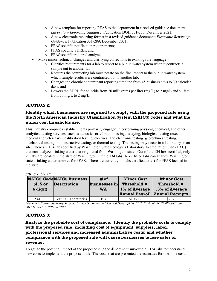- o A new template for reporting PFAS to the department in a revised guidance document: *Laboratory Reporting Guidance*, Publication DOH 331-530, December 2021;
- o A new electronic reporting format in a revised guidance document: *Electronic Reporting Guidance*, Publication 331-289, December 2021;
- o PFAS specific notification requirements;
- o PFAS specific SDRLs; and
- o PFAS specific required analytes.
- Make minor technical changes and clarifying corrections to existing rule language:
	- o Clarifies requirements for a lab to report to a public water system when it contracts a sample out to another lab;
	- o Requires the contracting lab must notate on the final report to the public water system which sample results were contracted out to another lab;
	- o Changes the chronic contaminant reporting timeline from 45 business days to 30 calendar days; and
	- $\circ$  Lowers the SDRL for chloride from 20 milligrams per liter (mg/L) to 2 mg/L and sulfate from 50 mg/L to 2 mg/L.

## **SECTION 2:**

## **Identify which businesses are required to comply with the proposed rule using the North American Industry Classification System (NAICS) codes and what the minor cost thresholds are.**

This industry comprises establishments primarily engaged in performing physical, chemical, and other analytical testing services, such as acoustics or vibration testing, assaying, biological testing (except medical and veterinary), calibration testing, electrical and electronic testing, geotechnical testing, mechanical testing, nondestructive testing, or thermal testing. The testing may occur in a laboratory or onsite. There are 134 labs certified by Washington State Ecology's Laboratory Accreditation Unit (LAU) that can analyze drinking water that originated from Washington state. Out of the 134 labs certified, only 79 labs are located in the state of Washington. Of the 134 labs, 16 certified labs can analyze Washington state drinking water samples for PFAS. There are currently no labs certified to test for PFAS located in the state.

#### *SBEIS Table A\*:*

| <b>NAICS CodeNAICS Business</b> |            |                             | # of          | <b>Minor Cost</b>     | <b>Minor Cost</b>      |
|---------------------------------|------------|-----------------------------|---------------|-----------------------|------------------------|
|                                 | $(4, 5$ or | <b>Description</b>          | businesses in | $Threshold =$         | $Threshold =$          |
|                                 | 6 digit)   |                             | WA            | 1% of Average         | $.3\%$ of Average      |
|                                 |            |                             |               | <b>Annual Payroll</b> | <b>Annual Receipts</b> |
|                                 | 541380     | <b>Testing Laboratories</b> | 197           | \$10606               | \$7878                 |

\**Economic Census. Summary Statistics fir the US., States, and Selected Geographies: 2017. Table ID EC1700BASIC.Year: 2017.Dataset: ECNBASIC2017*

#### **SECTION 3:**

### **Analyze the probable cost of compliance. Identify the probable costs to comply with the proposed rule, including cost of equipment, supplies, labor, professional services and increased administrative costs; and whether compliance with the proposed rule will cause businesses to lose sales or revenue.**

To gauge the potential impact of the proposed rule the department surveyed all 134 labs to understand new costs to implement the proposed rule. The costs that are presented are estimates for one-time costs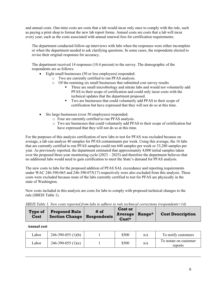and annual costs. One-time costs are costs that a lab would incur only once to comply with the rule, such as paying a print shop to format the new lab report forms. Annual costs are costs that a lab will incur every year, such as the costs associated with annual renewal fees for certification requirements.

The department conducted follow-up interviews with labs when the responses were either incomplete or when the department needed to ask clarifying questions. In some cases, the respondents elected to revise their original responses for accuracy.

The department received 14 responses (10.4 percent) to the survey. The demographic of the respondents are as follows:

- Eight small businesses (50 or less employees) responded:
	- o Two are currently certified to run PFAS analysis.
		- o Of the remining six small businesses that submitted cost survey results
			- Three are small microbiology and nitrate labs and would not voluntarily add PFAS to their scope of certification and could only incur costs with the technical updates that the department proposed.
			- Two are businesses that could voluntarily add PFAS to their scope of certification but have expressed that they will not do so at this time.
- Six large businesses (over 50 employees) responded:
	- o Four are currently certified to run PFAS analysis.
	- o Two are businesses that could voluntarily add PFAS to their scope of certification but have expressed that they will not do so at this time.

For the purposes of this analysis certification of new labs to test for PFAS was excluded because on average, a lab can analyze 40 samples for PFAS contaminants per week. Using this average, the 16 labs that are currently certified to run PFAS samples could run 640 samples per week or 33,280 samples per year. As previously reported, the department estimated that approximately 4,000 initial samples taken over the proposed three-year monitoring cycle (2023 – 2025) and therefore the department believes that no additional labs would need to gain certification to meet the State's demand for PFAS analysis.

The new costs to labs for the proposed addition of PFAS SAL exceedance and reporting requirements under WAC 246-390-065 and 246-390-075(17) respectively were also excluded from this analysis. These costs were excluded because none of the labs currently certified to test for PFAS are physically in the state of Washington.

New costs included in this analysis are costs for labs to comply with proposed technical changes to the rule (SBEIS Table 1).

| <u>UD LID IWONG ITIN HIGUD LODU HOO NG HIGH NGOD NG WWING CO LWIG NGCHINGWI GOLL GONGHINI TI GOD GINGGINO TILIT</u> |                                                                     |      |                                               |  |  |                         |
|---------------------------------------------------------------------------------------------------------------------|---------------------------------------------------------------------|------|-----------------------------------------------|--|--|-------------------------|
| Cost                                                                                                                | <b>Type of Proposed Rule</b><br><b>Section Change   Respondents</b> | # of | <b>Cost or</b><br>Average   Range*<br>$Cost*$ |  |  | <b>Cost Description</b> |

*SBEIS Table 1. New costs reported from labs to adhere to rule technical corrections (respondents=14)*

| ∟abor | $246-390-055(1)(b)$  | \$500 | n/a | To notify customers              |
|-------|----------------------|-------|-----|----------------------------------|
| ∟abor | $246-390-055$ (1)(e) | \$500 | n/a | To notate on customer<br>reports |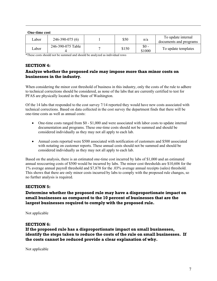#### **One-time cost**

| ∟abor | $246-390-075(6)$  | \$50  | n/a              | To update internal<br>documents and programs |
|-------|-------------------|-------|------------------|----------------------------------------------|
| _abor | 246-390-075 Table | \$150 | $$0 -$<br>\$1000 | To update templates                          |

\*These costs should not be summed and should be analyzed as individual rows

## **SECTION 4:**

## **Analyze whether the proposed rule may impose more than minor costs on businesses in the industry.**

When considering the minor cost threshold of business in this industry, only the costs of the rule to adhere to technical corrections should be considered, as none of the labs that are currently certified to test for PFAS are physically located in the State of Washington.

Of the 14 labs that responded to the cost survey 7/14 reported they would have new costs associated with technical corrections. Based on data collected in the cost survey the department finds that there will be one-time costs as well as annual costs:

- One-time costs ranged from \$0 \$1,000 and were associated with labor costs to update internal documentation and programs. These one-time costs should not be summed and should be considered individually as they may not all apply to each lab.
- Annual costs reported were \$500 associated with notification of customers and \$500 associated with notating on customer reports. These annual costs should not be summed and should be considered individually as they may not all apply to each lab.

Based on the analysis, there is an estimated one-time cost incurred by labs of \$1,000 and an estimated annual reoccurring costs of \$500 would be incurred by labs. The minor cost thresholds are \$10,606 for the 1% average annual payroll threshold and \$7,878 for the .03% average annual receipts (sales) threshold. This shows that there are only minor costs incurred by labs to comply with the proposed rule changes, so no further analysis is required.

## **SECTION 5:**

## **Determine whether the proposed rule may have a disproportionate impact on small businesses as compared to the 10 percent of businesses that are the largest businesses required to comply with the proposed rule.**

Not applicable

#### **SECTION 6:**

**If the proposed rule has a disproportionate impact on small businesses, identify the steps taken to reduce the costs of the rule on small businesses. If the costs cannot be reduced provide a clear explanation of why.**

Not applicable